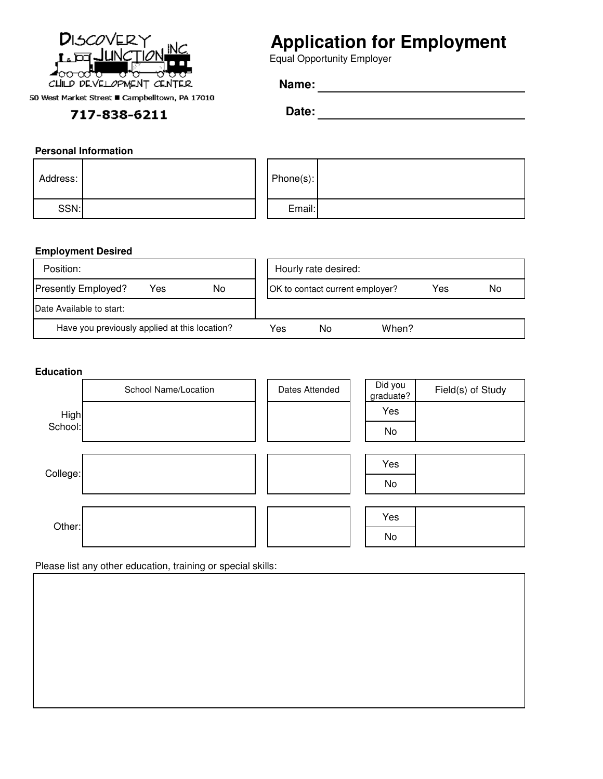

50 West Market Street ■ Campbelltown, PA 17010

## 717-838-6211

# **Application for Employment**

Equal Opportunity Employer

**Date:**

### **Personal Information**

| Address: |  | Phone(s): |  |
|----------|--|-----------|--|
| SSN:     |  | Email:    |  |

### **Employment Desired**

| Position:                                     |     | Hourly rate desired:            |       |     |    |
|-----------------------------------------------|-----|---------------------------------|-------|-----|----|
| <b>Presently Employed?</b><br>No<br>Yes       |     | OK to contact current employer? |       | Yes | No |
| Date Available to start:                      |     |                                 |       |     |    |
| Have you previously applied at this location? | Yes | No                              | When? |     |    |

#### **Education**



Please list any other education, training or special skills: